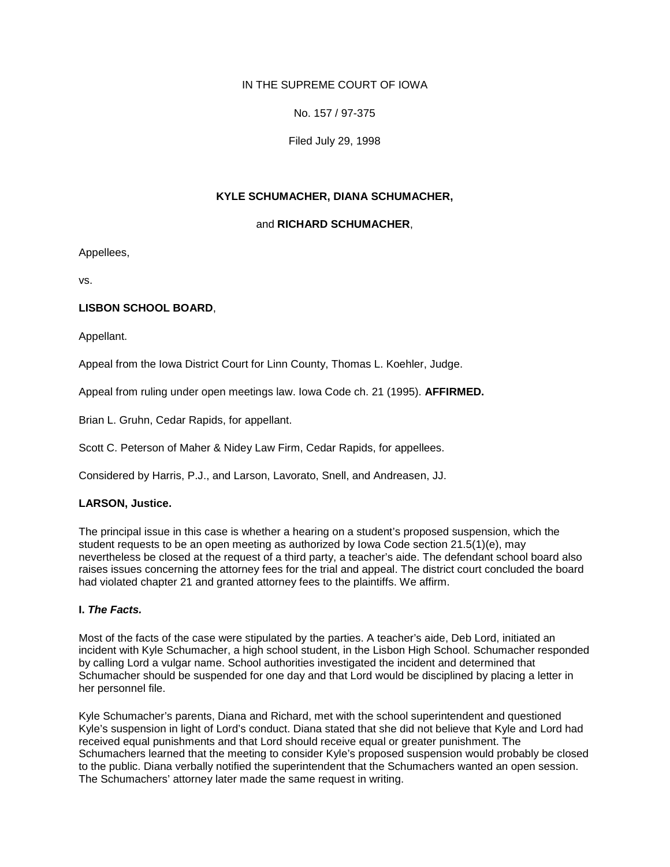# IN THE SUPREME COURT OF IOWA

No. 157 / 97-375

Filed July 29, 1998

## **KYLE SCHUMACHER, DIANA SCHUMACHER,**

### and **RICHARD SCHUMACHER**,

Appellees,

vs.

### **LISBON SCHOOL BOARD**,

Appellant.

Appeal from the Iowa District Court for Linn County, Thomas L. Koehler, Judge.

Appeal from ruling under open meetings law. Iowa Code ch. 21 (1995). **AFFIRMED.**

Brian L. Gruhn, Cedar Rapids, for appellant.

Scott C. Peterson of Maher & Nidey Law Firm, Cedar Rapids, for appellees.

Considered by Harris, P.J., and Larson, Lavorato, Snell, and Andreasen, JJ.

### **LARSON, Justice.**

The principal issue in this case is whether a hearing on a student's proposed suspension, which the student requests to be an open meeting as authorized by Iowa Code section 21.5(1)(e), may nevertheless be closed at the request of a third party, a teacher's aide. The defendant school board also raises issues concerning the attorney fees for the trial and appeal. The district court concluded the board had violated chapter 21 and granted attorney fees to the plaintiffs. We affirm.

### **I.** *The Facts.*

Most of the facts of the case were stipulated by the parties. A teacher's aide, Deb Lord, initiated an incident with Kyle Schumacher, a high school student, in the Lisbon High School. Schumacher responded by calling Lord a vulgar name. School authorities investigated the incident and determined that Schumacher should be suspended for one day and that Lord would be disciplined by placing a letter in her personnel file.

Kyle Schumacher's parents, Diana and Richard, met with the school superintendent and questioned Kyle's suspension in light of Lord's conduct. Diana stated that she did not believe that Kyle and Lord had received equal punishments and that Lord should receive equal or greater punishment. The Schumachers learned that the meeting to consider Kyle's proposed suspension would probably be closed to the public. Diana verbally notified the superintendent that the Schumachers wanted an open session. The Schumachers' attorney later made the same request in writing.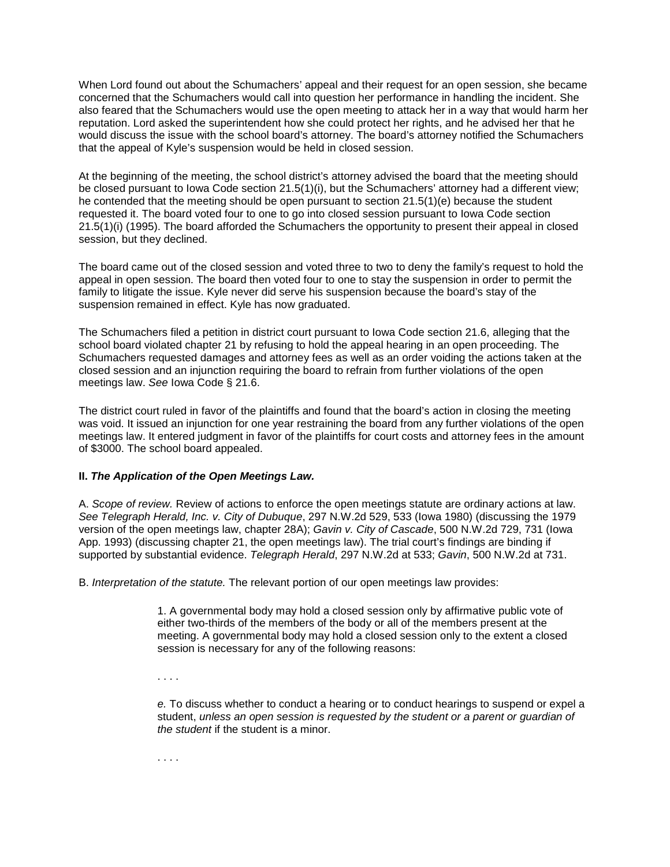When Lord found out about the Schumachers' appeal and their request for an open session, she became concerned that the Schumachers would call into question her performance in handling the incident. She also feared that the Schumachers would use the open meeting to attack her in a way that would harm her reputation. Lord asked the superintendent how she could protect her rights, and he advised her that he would discuss the issue with the school board's attorney. The board's attorney notified the Schumachers that the appeal of Kyle's suspension would be held in closed session.

At the beginning of the meeting, the school district's attorney advised the board that the meeting should be closed pursuant to Iowa Code section 21.5(1)(i), but the Schumachers' attorney had a different view; he contended that the meeting should be open pursuant to section 21.5(1)(e) because the student requested it. The board voted four to one to go into closed session pursuant to Iowa Code section 21.5(1)(i) (1995). The board afforded the Schumachers the opportunity to present their appeal in closed session, but they declined.

The board came out of the closed session and voted three to two to deny the family's request to hold the appeal in open session. The board then voted four to one to stay the suspension in order to permit the family to litigate the issue. Kyle never did serve his suspension because the board's stay of the suspension remained in effect. Kyle has now graduated.

The Schumachers filed a petition in district court pursuant to Iowa Code section 21.6, alleging that the school board violated chapter 21 by refusing to hold the appeal hearing in an open proceeding. The Schumachers requested damages and attorney fees as well as an order voiding the actions taken at the closed session and an injunction requiring the board to refrain from further violations of the open meetings law. *See* Iowa Code § 21.6.

The district court ruled in favor of the plaintiffs and found that the board's action in closing the meeting was void. It issued an injunction for one year restraining the board from any further violations of the open meetings law. It entered judgment in favor of the plaintiffs for court costs and attorney fees in the amount of \$3000. The school board appealed.

### **II.** *The Application of the Open Meetings Law.*

A. *Scope of review.* Review of actions to enforce the open meetings statute are ordinary actions at law. *See Telegraph Herald, Inc. v. City of Dubuque*, 297 N.W.2d 529, 533 (Iowa 1980) (discussing the 1979 version of the open meetings law, chapter 28A); *Gavin v. City of Cascade*, 500 N.W.2d 729, 731 (Iowa App. 1993) (discussing chapter 21, the open meetings law). The trial court's findings are binding if supported by substantial evidence. *Telegraph Herald*, 297 N.W.2d at 533; *Gavin*, 500 N.W.2d at 731.

B. *Interpretation of the statute.* The relevant portion of our open meetings law provides:

1. A governmental body may hold a closed session only by affirmative public vote of either two-thirds of the members of the body or all of the members present at the meeting. A governmental body may hold a closed session only to the extent a closed session is necessary for any of the following reasons:

. . . .

*e.* To discuss whether to conduct a hearing or to conduct hearings to suspend or expel a student, *unless an open session is requested by the student or a parent or guardian of the student* if the student is a minor.

. . . .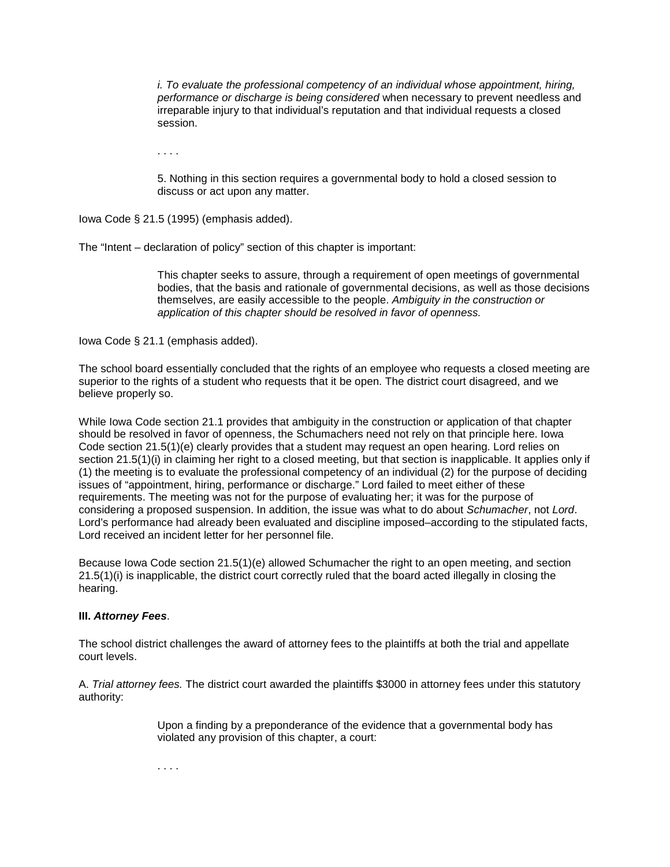*i. To evaluate the professional competency of an individual whose appointment, hiring, performance or discharge is being considered* when necessary to prevent needless and irreparable injury to that individual's reputation and that individual requests a closed session.

. . . .

5. Nothing in this section requires a governmental body to hold a closed session to discuss or act upon any matter.

Iowa Code § 21.5 (1995) (emphasis added).

The "Intent – declaration of policy" section of this chapter is important:

This chapter seeks to assure, through a requirement of open meetings of governmental bodies, that the basis and rationale of governmental decisions, as well as those decisions themselves, are easily accessible to the people. *Ambiguity in the construction or application of this chapter should be resolved in favor of openness.*

Iowa Code § 21.1 (emphasis added).

The school board essentially concluded that the rights of an employee who requests a closed meeting are superior to the rights of a student who requests that it be open. The district court disagreed, and we believe properly so.

While Iowa Code section 21.1 provides that ambiguity in the construction or application of that chapter should be resolved in favor of openness, the Schumachers need not rely on that principle here. Iowa Code section 21.5(1)(e) clearly provides that a student may request an open hearing. Lord relies on section 21.5(1)(i) in claiming her right to a closed meeting, but that section is inapplicable. It applies only if (1) the meeting is to evaluate the professional competency of an individual (2) for the purpose of deciding issues of "appointment, hiring, performance or discharge." Lord failed to meet either of these requirements. The meeting was not for the purpose of evaluating her; it was for the purpose of considering a proposed suspension. In addition, the issue was what to do about *Schumacher*, not *Lord*. Lord's performance had already been evaluated and discipline imposed–according to the stipulated facts, Lord received an incident letter for her personnel file.

Because Iowa Code section 21.5(1)(e) allowed Schumacher the right to an open meeting, and section 21.5(1)(i) is inapplicable, the district court correctly ruled that the board acted illegally in closing the hearing.

### **III.** *Attorney Fees*.

The school district challenges the award of attorney fees to the plaintiffs at both the trial and appellate court levels.

A. *Trial attorney fees.* The district court awarded the plaintiffs \$3000 in attorney fees under this statutory authority:

> Upon a finding by a preponderance of the evidence that a governmental body has violated any provision of this chapter, a court:

. . . .